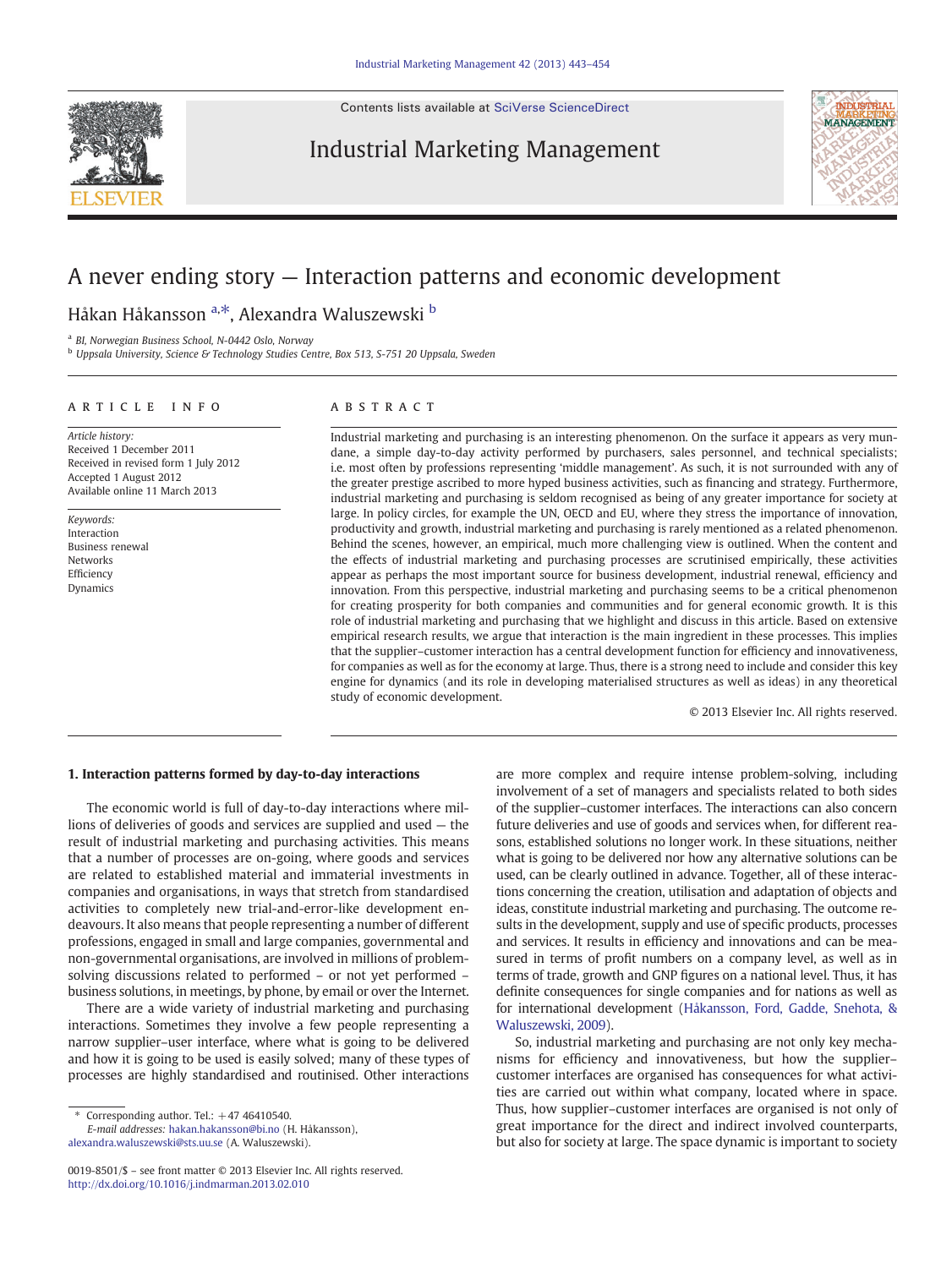Contents lists available at [SciVerse ScienceDirect](http://www.sciencedirect.com/science/journal/00198501)

## Industrial Marketing Management



## A never ending story — Interaction patterns and economic development

Håkan Håkansson <sup>a,\*</sup>, Alexandra Waluszewski <sup>b</sup>

<sup>a</sup> BI, Norwegian Business School, N-0442 Oslo, Norway

<sup>b</sup> Uppsala University, Science & Technology Studies Centre, Box 513, S-751 20 Uppsala, Sweden

### article info abstract

Article history: Received 1 December 2011 Received in revised form 1 July 2012 Accepted 1 August 2012 Available online 11 March 2013

Keywords: Interaction Business renewal Networks Efficiency Dynamics

Industrial marketing and purchasing is an interesting phenomenon. On the surface it appears as very mundane, a simple day-to-day activity performed by purchasers, sales personnel, and technical specialists; i.e. most often by professions representing 'middle management'. As such, it is not surrounded with any of the greater prestige ascribed to more hyped business activities, such as financing and strategy. Furthermore, industrial marketing and purchasing is seldom recognised as being of any greater importance for society at large. In policy circles, for example the UN, OECD and EU, where they stress the importance of innovation, productivity and growth, industrial marketing and purchasing is rarely mentioned as a related phenomenon. Behind the scenes, however, an empirical, much more challenging view is outlined. When the content and the effects of industrial marketing and purchasing processes are scrutinised empirically, these activities appear as perhaps the most important source for business development, industrial renewal, efficiency and innovation. From this perspective, industrial marketing and purchasing seems to be a critical phenomenon for creating prosperity for both companies and communities and for general economic growth. It is this role of industrial marketing and purchasing that we highlight and discuss in this article. Based on extensive empirical research results, we argue that interaction is the main ingredient in these processes. This implies that the supplier–customer interaction has a central development function for efficiency and innovativeness, for companies as well as for the economy at large. Thus, there is a strong need to include and consider this key engine for dynamics (and its role in developing materialised structures as well as ideas) in any theoretical study of economic development.

© 2013 Elsevier Inc. All rights reserved.

### 1. Interaction patterns formed by day-to-day interactions

The economic world is full of day-to-day interactions where millions of deliveries of goods and services are supplied and used — the result of industrial marketing and purchasing activities. This means that a number of processes are on-going, where goods and services are related to established material and immaterial investments in companies and organisations, in ways that stretch from standardised activities to completely new trial-and-error-like development endeavours. It also means that people representing a number of different professions, engaged in small and large companies, governmental and non-governmental organisations, are involved in millions of problemsolving discussions related to performed – or not yet performed – business solutions, in meetings, by phone, by email or over the Internet.

There are a wide variety of industrial marketing and purchasing interactions. Sometimes they involve a few people representing a narrow supplier–user interface, where what is going to be delivered and how it is going to be used is easily solved; many of these types of processes are highly standardised and routinised. Other interactions

Corresponding author. Tel.:  $+47$  46410540.

E-mail addresses: [hakan.hakansson@bi.no](mailto:hakan.hakansson@bi.no) (H. Håkansson), [alexandra.waluszewski@sts.uu.se](mailto:alexandra.waluszewski@sts.uu.se) (A. Waluszewski).

are more complex and require intense problem-solving, including involvement of a set of managers and specialists related to both sides of the supplier–customer interfaces. The interactions can also concern future deliveries and use of goods and services when, for different reasons, established solutions no longer work. In these situations, neither what is going to be delivered nor how any alternative solutions can be used, can be clearly outlined in advance. Together, all of these interactions concerning the creation, utilisation and adaptation of objects and ideas, constitute industrial marketing and purchasing. The outcome results in the development, supply and use of specific products, processes and services. It results in efficiency and innovations and can be measured in terms of profit numbers on a company level, as well as in terms of trade, growth and GNP figures on a national level. Thus, it has definite consequences for single companies and for nations as well as for international development [\(Håkansson, Ford, Gadde, Snehota, &](#page--1-0) [Waluszewski, 2009\)](#page--1-0).

So, industrial marketing and purchasing are not only key mechanisms for efficiency and innovativeness, but how the supplier– customer interfaces are organised has consequences for what activities are carried out within what company, located where in space. Thus, how supplier–customer interfaces are organised is not only of great importance for the direct and indirect involved counterparts, but also for society at large. The space dynamic is important to society

<sup>0019-8501/\$</sup> – see front matter © 2013 Elsevier Inc. All rights reserved. <http://dx.doi.org/10.1016/j.indmarman.2013.02.010>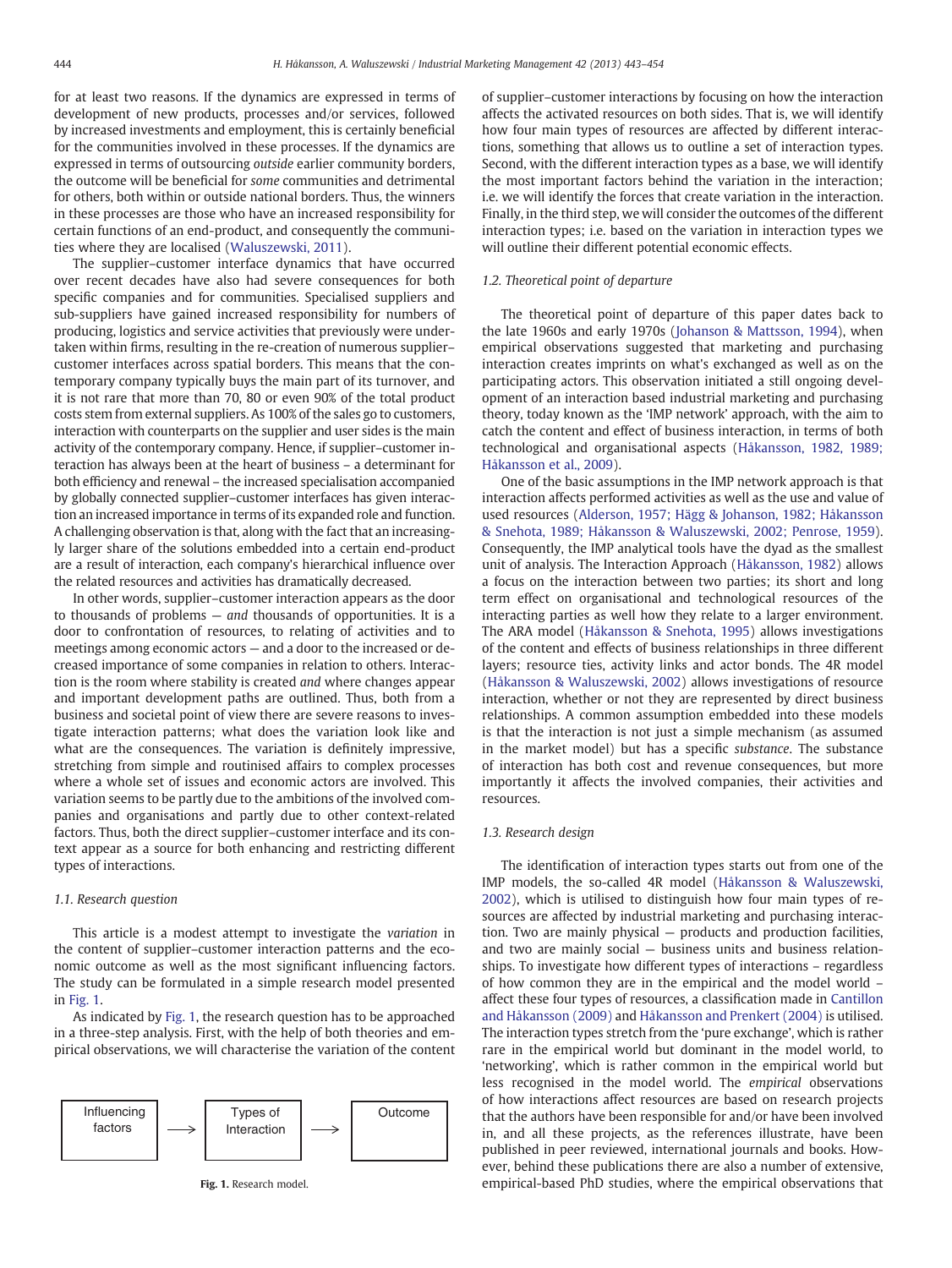for at least two reasons. If the dynamics are expressed in terms of development of new products, processes and/or services, followed by increased investments and employment, this is certainly beneficial for the communities involved in these processes. If the dynamics are expressed in terms of outsourcing outside earlier community borders, the outcome will be beneficial for some communities and detrimental for others, both within or outside national borders. Thus, the winners in these processes are those who have an increased responsibility for certain functions of an end-product, and consequently the communities where they are localised [\(Waluszewski, 2011\)](#page--1-0).

The supplier–customer interface dynamics that have occurred over recent decades have also had severe consequences for both specific companies and for communities. Specialised suppliers and sub-suppliers have gained increased responsibility for numbers of producing, logistics and service activities that previously were undertaken within firms, resulting in the re-creation of numerous supplier– customer interfaces across spatial borders. This means that the contemporary company typically buys the main part of its turnover, and it is not rare that more than 70, 80 or even 90% of the total product costs stem from external suppliers. As 100% of the sales go to customers, interaction with counterparts on the supplier and user sides is the main activity of the contemporary company. Hence, if supplier–customer interaction has always been at the heart of business – a determinant for both efficiency and renewal – the increased specialisation accompanied by globally connected supplier–customer interfaces has given interaction an increased importance in terms of its expanded role and function. A challenging observation is that, along with the fact that an increasingly larger share of the solutions embedded into a certain end-product are a result of interaction, each company's hierarchical influence over the related resources and activities has dramatically decreased.

In other words, supplier–customer interaction appears as the door to thousands of problems  $-$  and thousands of opportunities. It is a door to confrontation of resources, to relating of activities and to meetings among economic actors — and a door to the increased or decreased importance of some companies in relation to others. Interaction is the room where stability is created and where changes appear and important development paths are outlined. Thus, both from a business and societal point of view there are severe reasons to investigate interaction patterns; what does the variation look like and what are the consequences. The variation is definitely impressive, stretching from simple and routinised affairs to complex processes where a whole set of issues and economic actors are involved. This variation seems to be partly due to the ambitions of the involved companies and organisations and partly due to other context-related factors. Thus, both the direct supplier–customer interface and its context appear as a source for both enhancing and restricting different types of interactions.

#### 1.1. Research question

This article is a modest attempt to investigate the variation in the content of supplier–customer interaction patterns and the economic outcome as well as the most significant influencing factors. The study can be formulated in a simple research model presented in Fig. 1.

As indicated by Fig. 1, the research question has to be approached in a three-step analysis. First, with the help of both theories and empirical observations, we will characterise the variation of the content



Fig. 1. Research model.

of supplier–customer interactions by focusing on how the interaction affects the activated resources on both sides. That is, we will identify how four main types of resources are affected by different interactions, something that allows us to outline a set of interaction types. Second, with the different interaction types as a base, we will identify the most important factors behind the variation in the interaction; i.e. we will identify the forces that create variation in the interaction. Finally, in the third step, we will consider the outcomes of the different interaction types; i.e. based on the variation in interaction types we will outline their different potential economic effects.

#### 1.2. Theoretical point of departure

The theoretical point of departure of this paper dates back to the late 1960s and early 1970s [\(Johanson & Mattsson, 1994](#page--1-0)), when empirical observations suggested that marketing and purchasing interaction creates imprints on what's exchanged as well as on the participating actors. This observation initiated a still ongoing development of an interaction based industrial marketing and purchasing theory, today known as the 'IMP network' approach, with the aim to catch the content and effect of business interaction, in terms of both technological and organisational aspects [\(Håkansson, 1982, 1989;](#page--1-0) [Håkansson et al., 2009\)](#page--1-0).

One of the basic assumptions in the IMP network approach is that interaction affects performed activities as well as the use and value of used resources [\(Alderson, 1957; Hägg & Johanson, 1982; Håkansson](#page--1-0) [& Snehota, 1989; Håkansson & Waluszewski, 2002; Penrose, 1959](#page--1-0)). Consequently, the IMP analytical tools have the dyad as the smallest unit of analysis. The Interaction Approach [\(Håkansson, 1982](#page--1-0)) allows a focus on the interaction between two parties; its short and long term effect on organisational and technological resources of the interacting parties as well how they relate to a larger environment. The ARA model ([Håkansson & Snehota, 1995](#page--1-0)) allows investigations of the content and effects of business relationships in three different layers; resource ties, activity links and actor bonds. The 4R model [\(Håkansson & Waluszewski, 2002](#page--1-0)) allows investigations of resource interaction, whether or not they are represented by direct business relationships. A common assumption embedded into these models is that the interaction is not just a simple mechanism (as assumed in the market model) but has a specific substance. The substance of interaction has both cost and revenue consequences, but more importantly it affects the involved companies, their activities and resources.

#### 1.3. Research design

The identification of interaction types starts out from one of the IMP models, the so-called 4R model ([Håkansson & Waluszewski,](#page--1-0) [2002\)](#page--1-0), which is utilised to distinguish how four main types of resources are affected by industrial marketing and purchasing interaction. Two are mainly physical — products and production facilities, and two are mainly social — business units and business relationships. To investigate how different types of interactions – regardless of how common they are in the empirical and the model world – affect these four types of resources, a classification made in [Cantillon](#page--1-0) [and Håkansson \(2009\)](#page--1-0) and [Håkansson and Prenkert \(2004\)](#page--1-0) is utilised. The interaction types stretch from the 'pure exchange', which is rather rare in the empirical world but dominant in the model world, to 'networking', which is rather common in the empirical world but less recognised in the model world. The empirical observations of how interactions affect resources are based on research projects that the authors have been responsible for and/or have been involved in, and all these projects, as the references illustrate, have been published in peer reviewed, international journals and books. However, behind these publications there are also a number of extensive, empirical-based PhD studies, where the empirical observations that